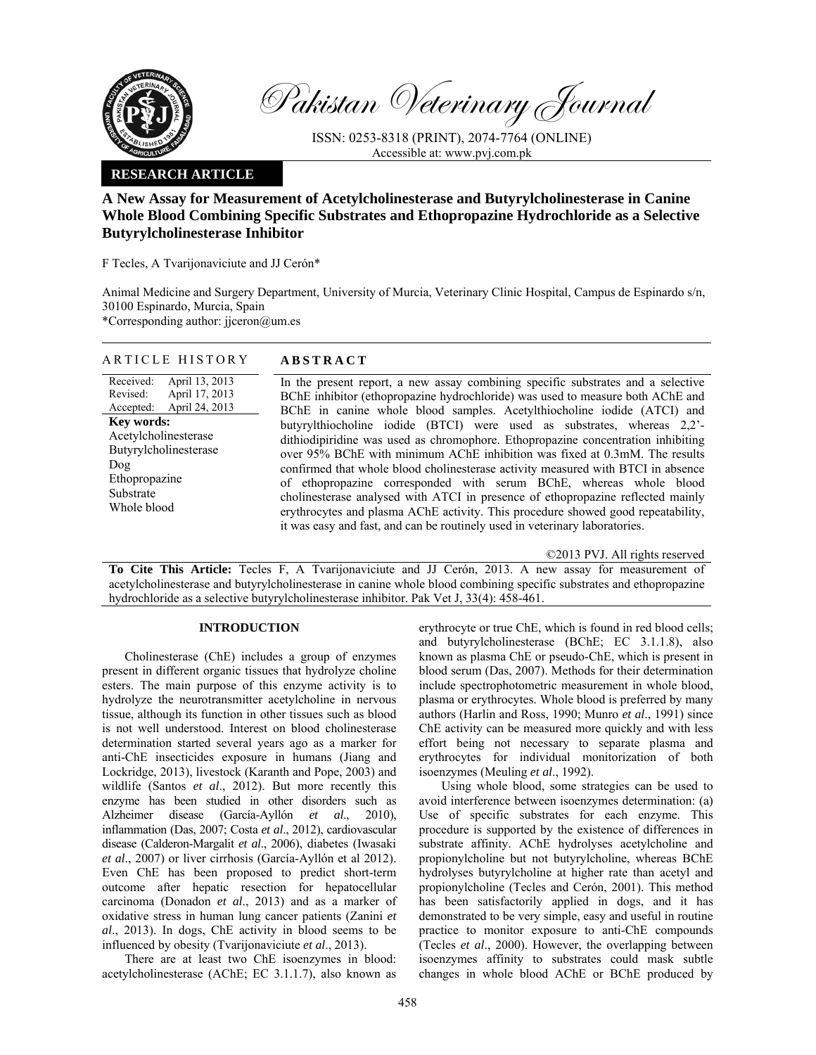

Pakistan Veterinary Journal

ISSN: 0253-8318 (PRINT), 2074-7764 (ONLINE) Accessible at: www.pvj.com.pk

## **RESEARCH ARTICLE**

# **A New Assay for Measurement of Acetylcholinesterase and Butyrylcholinesterase in Canine Whole Blood Combining Specific Substrates and Ethopropazine Hydrochloride as a Selective Butyrylcholinesterase Inhibitor**

F Tecles, A Tvarijonaviciute and JJ Cerón\*

Animal Medicine and Surgery Department, University of Murcia, Veterinary Clinic Hospital, Campus de Espinardo s/n, 30100 Espinardo, Murcia, Spain \*Corresponding author: jjceron@um.es

## ARTICLE HISTORY **ABSTRACT**

Received: Revised: Accepted: April 13, 2013 April 17, 2013 April 24, 2013 **Key words:**  Acetylcholinesterase Butyrylcholinesterase Dog Ethopropazine Substrate Whole blood

 In the present report, a new assay combining specific substrates and a selective BChE inhibitor (ethopropazine hydrochloride) was used to measure both AChE and BChE in canine whole blood samples. Acetylthiocholine iodide (ATCI) and butyrylthiocholine iodide (BTCI) were used as substrates, whereas 2,2' dithiodipiridine was used as chromophore. Ethopropazine concentration inhibiting over 95% BChE with minimum AChE inhibition was fixed at 0.3mM. The results confirmed that whole blood cholinesterase activity measured with BTCI in absence of ethopropazine corresponded with serum BChE, whereas whole blood cholinesterase analysed with ATCI in presence of ethopropazine reflected mainly erythrocytes and plasma AChE activity. This procedure showed good repeatability, it was easy and fast, and can be routinely used in veterinary laboratories.

©2013 PVJ. All rights reserved

**To Cite This Article:** Tecles F, A Tvarijonaviciute and JJ Cerón, 2013. A new assay for measurement of acetylcholinesterase and butyrylcholinesterase in canine whole blood combining specific substrates and ethopropazine hydrochloride as a selective butyrylcholinesterase inhibitor. Pak Vet J, 33(4): 458-461.

## **INTRODUCTION**

Cholinesterase (ChE) includes a group of enzymes present in different organic tissues that hydrolyze choline esters. The main purpose of this enzyme activity is to hydrolyze the neurotransmitter acetylcholine in nervous tissue, although its function in other tissues such as blood is not well understood. Interest on blood cholinesterase determination started several years ago as a marker for anti-ChE insecticides exposure in humans (Jiang and Lockridge, 2013), livestock (Karanth and Pope, 2003) and wildlife (Santos *et al*., 2012). But more recently this enzyme has been studied in other disorders such as Alzheimer disease (García-Ayllón *et al*., 2010), inflammation (Das, 2007; Costa *et al*., 2012), cardiovascular disease (Calderon-Margalit *et al*., 2006), diabetes (Iwasaki *et al*., 2007) or liver cirrhosis (García-Ayllón et al 2012). Even ChE has been proposed to predict short-term outcome after hepatic resection for hepatocellular carcinoma (Donadon *et al*., 2013) and as a marker of oxidative stress in human lung cancer patients (Zanini *et al*., 2013). In dogs, ChE activity in blood seems to be influenced by obesity (Tvarijonaviciute *et al*., 2013).

There are at least two ChE isoenzymes in blood: acetylcholinesterase (AChE; EC 3.1.1.7), also known as

erythrocyte or true ChE, which is found in red blood cells; and butyrylcholinesterase (BChE; EC 3.1.1.8), also known as plasma ChE or pseudo-ChE, which is present in blood serum (Das, 2007). Methods for their determination include spectrophotometric measurement in whole blood, plasma or erythrocytes. Whole blood is preferred by many authors (Harlin and Ross, 1990; Munro *et al*., 1991) since ChE activity can be measured more quickly and with less effort being not necessary to separate plasma and erythrocytes for individual monitorization of both isoenzymes (Meuling *et al*., 1992).

Using whole blood, some strategies can be used to avoid interference between isoenzymes determination: (a) Use of specific substrates for each enzyme. This procedure is supported by the existence of differences in substrate affinity. AChE hydrolyses acetylcholine and propionylcholine but not butyrylcholine, whereas BChE hydrolyses butyrylcholine at higher rate than acetyl and propionylcholine (Tecles and Cerón, 2001). This method has been satisfactorily applied in dogs, and it has demonstrated to be very simple, easy and useful in routine practice to monitor exposure to anti-ChE compounds (Tecles *et al*., 2000). However, the overlapping between isoenzymes affinity to substrates could mask subtle changes in whole blood AChE or BChE produced by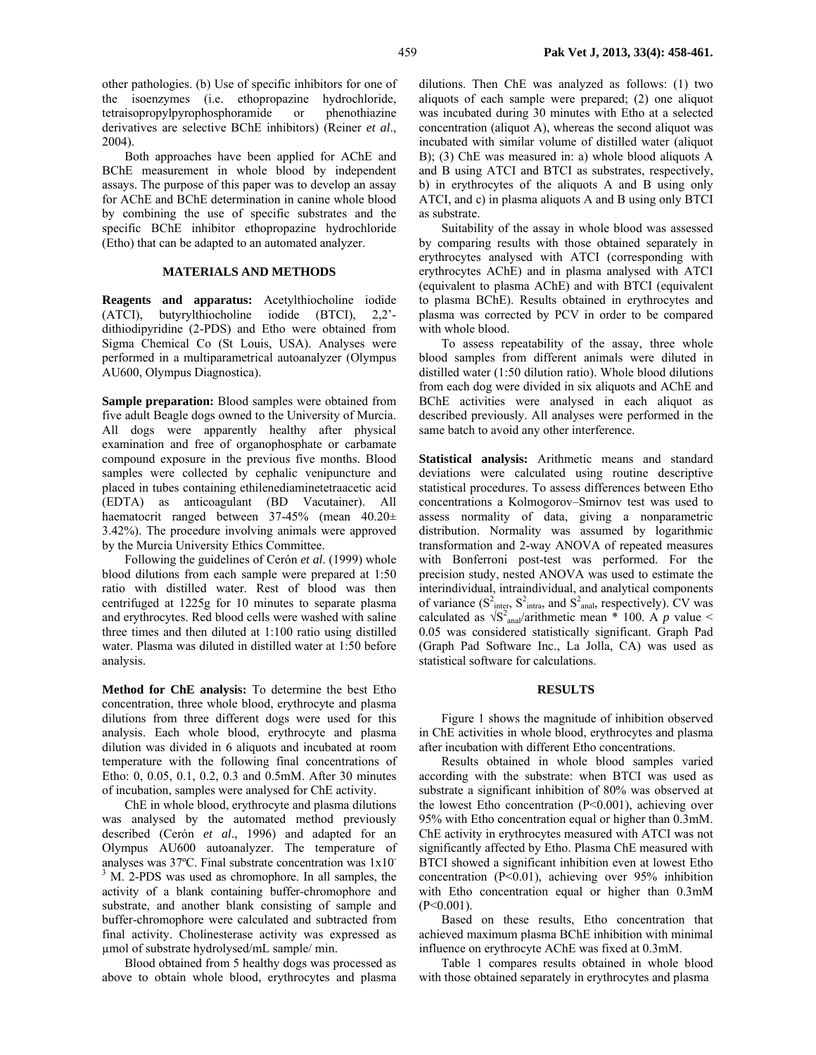other pathologies. (b) Use of specific inhibitors for one of the isoenzymes (i.e. ethopropazine hydrochloride, tetraisopropylpyrophosphoramide or phenothiazine derivatives are selective BChE inhibitors) (Reiner *et al*., 2004).

Both approaches have been applied for AChE and BChE measurement in whole blood by independent assays. The purpose of this paper was to develop an assay for AChE and BChE determination in canine whole blood by combining the use of specific substrates and the specific BChE inhibitor ethopropazine hydrochloride (Etho) that can be adapted to an automated analyzer.

## **MATERIALS AND METHODS**

**Reagents and apparatus:** Acetylthiocholine iodide (ATCI), butyrylthiocholine iodide (BTCI), 2,2' dithiodipyridine (2-PDS) and Etho were obtained from Sigma Chemical Co (St Louis, USA). Analyses were performed in a multiparametrical autoanalyzer (Olympus AU600, Olympus Diagnostica).

**Sample preparation:** Blood samples were obtained from five adult Beagle dogs owned to the University of Murcia. All dogs were apparently healthy after physical examination and free of organophosphate or carbamate compound exposure in the previous five months. Blood samples were collected by cephalic venipuncture and placed in tubes containing ethilenediaminetetraacetic acid (EDTA) as anticoagulant (BD Vacutainer). All haematocrit ranged between 37-45% (mean 40.20± 3.42%). The procedure involving animals were approved by the Murcia University Ethics Committee.

Following the guidelines of Cerón *et al*. (1999) whole blood dilutions from each sample were prepared at 1:50 ratio with distilled water. Rest of blood was then centrifuged at 1225g for 10 minutes to separate plasma and erythrocytes. Red blood cells were washed with saline three times and then diluted at 1:100 ratio using distilled water. Plasma was diluted in distilled water at 1:50 before analysis.

**Method for ChE analysis:** To determine the best Etho concentration, three whole blood, erythrocyte and plasma dilutions from three different dogs were used for this analysis. Each whole blood, erythrocyte and plasma dilution was divided in 6 aliquots and incubated at room temperature with the following final concentrations of Etho: 0, 0.05, 0.1, 0.2, 0.3 and 0.5mM. After 30 minutes of incubation, samples were analysed for ChE activity.

ChE in whole blood, erythrocyte and plasma dilutions was analysed by the automated method previously described (Cerón *et al*., 1996) and adapted for an Olympus AU600 autoanalyzer. The temperature of analyses was 37ºC. Final substrate concentration was 1x10- <sup>3</sup> M. 2-PDS was used as chromophore. In all samples, the activity of a blank containing buffer-chromophore and substrate, and another blank consisting of sample and buffer-chromophore were calculated and subtracted from final activity. Cholinesterase activity was expressed as µmol of substrate hydrolysed/mL sample/ min.

Blood obtained from 5 healthy dogs was processed as above to obtain whole blood, erythrocytes and plasma dilutions. Then ChE was analyzed as follows: (1) two aliquots of each sample were prepared; (2) one aliquot was incubated during 30 minutes with Etho at a selected concentration (aliquot A), whereas the second aliquot was incubated with similar volume of distilled water (aliquot B); (3) ChE was measured in: a) whole blood aliquots A and B using ATCI and BTCI as substrates, respectively, b) in erythrocytes of the aliquots A and B using only ATCI, and c) in plasma aliquots A and B using only BTCI as substrate.

Suitability of the assay in whole blood was assessed by comparing results with those obtained separately in erythrocytes analysed with ATCI (corresponding with erythrocytes AChE) and in plasma analysed with ATCI (equivalent to plasma AChE) and with BTCI (equivalent to plasma BChE). Results obtained in erythrocytes and plasma was corrected by PCV in order to be compared with whole blood.

To assess repeatability of the assay, three whole blood samples from different animals were diluted in distilled water (1:50 dilution ratio). Whole blood dilutions from each dog were divided in six aliquots and AChE and BChE activities were analysed in each aliquot as described previously. All analyses were performed in the same batch to avoid any other interference.

**Statistical analysis:** Arithmetic means and standard deviations were calculated using routine descriptive statistical procedures. To assess differences between Etho concentrations a Kolmogorov–Smirnov test was used to assess normality of data, giving a nonparametric distribution. Normality was assumed by logarithmic transformation and 2-way ANOVA of repeated measures with Bonferroni post-test was performed. For the precision study, nested ANOVA was used to estimate the interindividual, intraindividual, and analytical components of variance  $(S^2_{\text{inter}}, S^2_{\text{intra}}, \text{ and } S^2_{\text{anal}}, \text{ respectively})$ . CV was calculated as  $\sqrt{S^2}$ <sub>anal</sub>/arithmetic mean \* 100. A *p* value < 0.05 was considered statistically significant. Graph Pad (Graph Pad Software Inc., La Jolla, CA) was used as statistical software for calculations.

#### **RESULTS**

Figure 1 shows the magnitude of inhibition observed in ChE activities in whole blood, erythrocytes and plasma after incubation with different Etho concentrations.

Results obtained in whole blood samples varied according with the substrate: when BTCI was used as substrate a significant inhibition of 80% was observed at the lowest Etho concentration (P<0.001), achieving over 95% with Etho concentration equal or higher than 0.3mM. ChE activity in erythrocytes measured with ATCI was not significantly affected by Etho. Plasma ChE measured with BTCI showed a significant inhibition even at lowest Etho concentration (P<0.01), achieving over 95% inhibition with Etho concentration equal or higher than 0.3mM  $(P<0.001)$ .

Based on these results, Etho concentration that achieved maximum plasma BChE inhibition with minimal influence on erythrocyte AChE was fixed at 0.3mM.

Table 1 compares results obtained in whole blood with those obtained separately in erythrocytes and plasma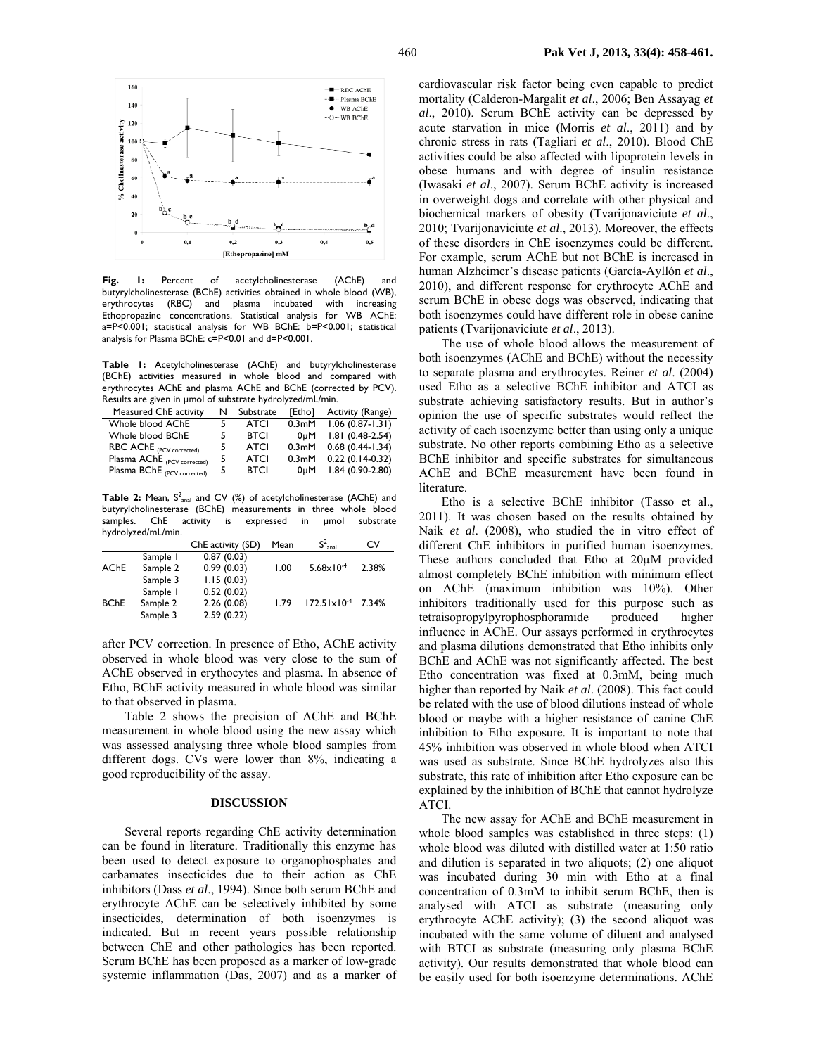

**Fig. 1:** Percent of acetylcholinesterase (AChE) and butyrylcholinesterase (BChE) activities obtained in whole blood (WB), erythrocytes (RBC) and plasma incubated with increasing erythrocytes (RBC) and plasma incubated with increasing Ethopropazine concentrations. Statistical analysis for WB AChE: a=P<0.001; statistical analysis for WB BChE: b=P<0.001; statistical analysis for Plasma BChE: c=P<0.01 and d=P<0.001.

**Table 1:** Acetylcholinesterase (AChE) and butyrylcholinesterase (BChE) activities measured in whole blood and compared with erythrocytes AChE and plasma AChE and BChE (corrected by PCV). Results are given in µmol of substrate hydrolyzed/mL/min.

| Measured ChE activity                   | N | Substrate   | <b>TEthol</b>      | Activity (Range)  |
|-----------------------------------------|---|-------------|--------------------|-------------------|
| Whole blood AChE                        |   | ATCI        | 0.3 <sub>m</sub> M | $1.06(0.87-1.31)$ |
| Whole blood BChE                        |   | <b>BTCI</b> | 0uM                | $1.81(0.48-2.54)$ |
| $RBC$ $AChE$ <sub>(PCV corrected)</sub> | 5 | ATCI        | 0.3 <sub>m</sub> M | $0.68(0.44-1.34)$ |
| Plasma AChE (PCV corrected)             | 5 | ATCI        | 0.3 <sub>m</sub> M | $0.22(0.14-0.32)$ |
| Plasma BChE (PCV corrected)             | 5 | <b>BTCI</b> | 0uM                | $1.84(0.90-2.80)$ |

**Table 2:** Mean, S<sup>2</sup><sub>anal</sub> and CV (%) of acetylcholinesterase (AChE) and butyrylcholinesterase (BChE) measurements in three whole blood samples. ChE activity is expressed in umol substrate hydrolyzed/mL/min.

|             |          | ChE activity (SD) | Mean | $S^2_{\text{anal}}$           | C٧    |
|-------------|----------|-------------------|------|-------------------------------|-------|
| <b>AChE</b> | Sample 1 | 0.87(0.03)        |      |                               |       |
|             | Sample 2 | 0.99(0.03)        | 1.00 | $5.68 \times 10^{-4}$         | 2.38% |
|             | Sample 3 | 1.15(0.03)        |      |                               |       |
| <b>BChE</b> | Sample 1 | 0.52(0.02)        |      |                               |       |
|             | Sample 2 | 2.26(0.08)        | 1.79 | $172.51 \times 10^{-4}$ 7.34% |       |
|             | Sample 3 | 2.59(0.22)        |      |                               |       |

after PCV correction. In presence of Etho, AChE activity observed in whole blood was very close to the sum of AChE observed in erythocytes and plasma. In absence of Etho, BChE activity measured in whole blood was similar to that observed in plasma.

Table 2 shows the precision of AChE and BChE measurement in whole blood using the new assay which was assessed analysing three whole blood samples from different dogs. CVs were lower than 8%, indicating a good reproducibility of the assay.

#### **DISCUSSION**

Several reports regarding ChE activity determination can be found in literature. Traditionally this enzyme has been used to detect exposure to organophosphates and carbamates insecticides due to their action as ChE inhibitors (Dass *et al*., 1994). Since both serum BChE and erythrocyte AChE can be selectively inhibited by some insecticides, determination of both isoenzymes is indicated. But in recent years possible relationship between ChE and other pathologies has been reported. Serum BChE has been proposed as a marker of low-grade systemic inflammation (Das, 2007) and as a marker of cardiovascular risk factor being even capable to predict mortality (Calderon-Margalit *et al*., 2006; Ben Assayag *et al*., 2010). Serum BChE activity can be depressed by acute starvation in mice (Morris *et al*., 2011) and by chronic stress in rats (Tagliari *et al*., 2010). Blood ChE activities could be also affected with lipoprotein levels in obese humans and with degree of insulin resistance (Iwasaki *et al*., 2007). Serum BChE activity is increased in overweight dogs and correlate with other physical and biochemical markers of obesity (Tvarijonaviciute *et al*., 2010; Tvarijonaviciute *et al*., 2013). Moreover, the effects of these disorders in ChE isoenzymes could be different. For example, serum AChE but not BChE is increased in human Alzheimer's disease patients (García-Ayllón *et al*., 2010), and different response for erythrocyte AChE and serum BChE in obese dogs was observed, indicating that both isoenzymes could have different role in obese canine patients (Tvarijonaviciute *et al*., 2013).

The use of whole blood allows the measurement of both isoenzymes (AChE and BChE) without the necessity to separate plasma and erythrocytes. Reiner *et al*. (2004) used Etho as a selective BChE inhibitor and ATCI as substrate achieving satisfactory results. But in author's opinion the use of specific substrates would reflect the activity of each isoenzyme better than using only a unique substrate. No other reports combining Etho as a selective BChE inhibitor and specific substrates for simultaneous AChE and BChE measurement have been found in literature.

Etho is a selective BChE inhibitor (Tasso et al., 2011). It was chosen based on the results obtained by Naik *et al*. (2008), who studied the in vitro effect of different ChE inhibitors in purified human isoenzymes. These authors concluded that Etho at 20µM provided almost completely BChE inhibition with minimum effect on AChE (maximum inhibition was 10%). Other inhibitors traditionally used for this purpose such as tetraisopropylpyrophosphoramide produced higher influence in AChE. Our assays performed in erythrocytes and plasma dilutions demonstrated that Etho inhibits only BChE and AChE was not significantly affected. The best Etho concentration was fixed at 0.3mM, being much higher than reported by Naik *et al*. (2008). This fact could be related with the use of blood dilutions instead of whole blood or maybe with a higher resistance of canine ChE inhibition to Etho exposure. It is important to note that 45% inhibition was observed in whole blood when ATCI was used as substrate. Since BChE hydrolyzes also this substrate, this rate of inhibition after Etho exposure can be explained by the inhibition of BChE that cannot hydrolyze ATCI.

The new assay for AChE and BChE measurement in whole blood samples was established in three steps: (1) whole blood was diluted with distilled water at 1:50 ratio and dilution is separated in two aliquots; (2) one aliquot was incubated during 30 min with Etho at a final concentration of 0.3mM to inhibit serum BChE, then is analysed with ATCI as substrate (measuring only erythrocyte AChE activity); (3) the second aliquot was incubated with the same volume of diluent and analysed with BTCI as substrate (measuring only plasma BChE activity). Our results demonstrated that whole blood can be easily used for both isoenzyme determinations. AChE